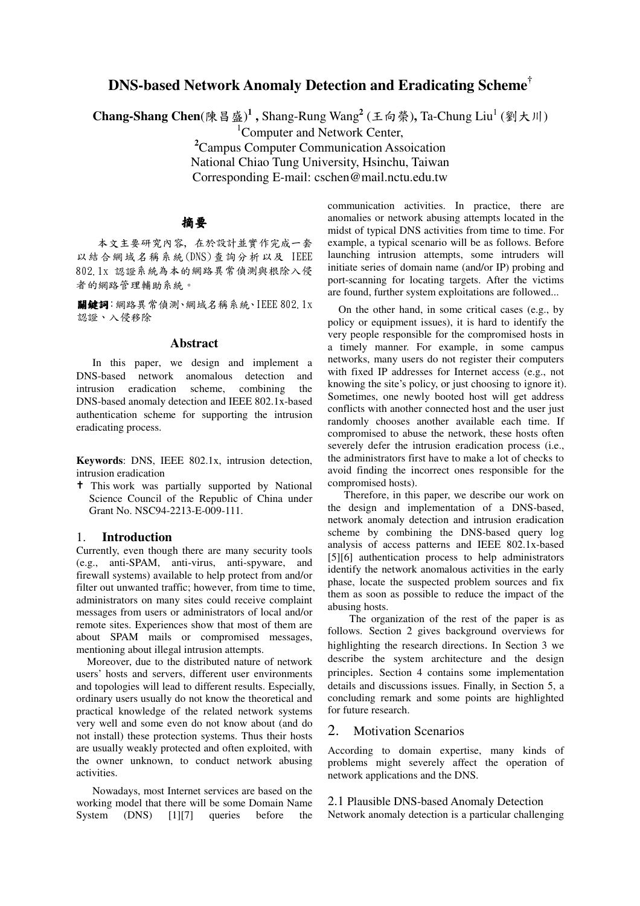# **DNS-based Network Anomaly Detection and Eradicating Scheme †**

**Chang-Shang Chen**(陳昌盛)<sup>1</sup>, Shang-Rung Wang<sup>2</sup> (王向榮), Ta-Chung Liu<sup>1</sup> (劉大川)

 $1$ Computer and Network Center.

**<sup>2</sup>**Campus Computer Communication Assoication National Chiao Tung University, Hsinchu, Taiwan Corresponding E-mail: cschen@mail.nctu.edu.tw

### 摘要

- 
以 結 合 網 域 名 稱 系 統 (DNS) 查 詢 分 析 以 及 【EE  $\alpha \alpha$  is an  $\lambda$  if  $\lambda$  is a positional depth in  $\lambda$  . In the HIM  $\mu$  Cene  $\mathcal{L}$  and  $\mathcal{L}$  are  $\mathcal{L}$  and  $\mathcal{L}$  and  $\mathcal{L}$  are  $\mathcal{L}$  and  $\mathcal{L}$ 

關鍵詞:網路異常偵測、網域名稱系統、IEEE 802.1xcm KPLIMXPY STEEL ARE AND THE ABOVE

#### **Abstract**

In this paper, we design and implement a DNS-based network anomalous detection and intrusion eradication scheme, combining the DNS-based anomaly detection and IEEE 802.1x-based authentication scheme for supporting the intrusion eradicating process.

**Keywords**: DNS, IEEE 802.1x, intrusion detection, intrusion eradication

<sup>†</sup> This work was partially supported by National Science Council of the Republic of China under Grant No. NSC94-2213-E-009-111.

### 1. **Introduction**

Currently, even though there are many security tools (e.g., anti-SPAM, anti-virus, anti-spyware, and firewall systems) available to help protect from and/or filter out unwanted traffic; however, from time to time, administrators on many sites could receive complaint messages from users or administrators of local and/or remote sites. Experiences show that most of them are about SPAM mails or compromised messages, mentioning about illegal intrusion attempts.

Moreover, due to the distributed nature of network users' hosts and servers, different user environments and topologies will lead to different results. Especially, ordinary users usually do not know the theoretical and practical knowledge of the related network systems very well and some even do not know about (and do not install) these protection systems. Thus their hosts are usually weakly protected and often exploited, with the owner unknown, to conduct network abusing activities.

Nowadays, most Internet services are based on the working model that there will be some Domain Name System (DNS) [1][7] queries before the

 example, a typical scenario will be as follows. Before launching intrusion attempts, some intruders will communication activities. In practice, there are anomalies or network abusing attempts located in the midst of typical DNS activities from time to time. For initiate series of domain name (and/or IP) probing and port-scanning for locating targets. After the victims are found, further system exploitations are followed...

On the other hand, in some critical cases (e.g., by policy or equipment issues), it is hard to identify the very people responsible for the compromised hosts in a timely manner. For example, in some campus networks, many users do not register their computers with fixed IP addresses for Internet access (e.g., not knowing the site's policy, or just choosing to ignore it). Sometimes, one newly booted host will get address conflicts with another connected host and the user just randomly chooses another available each time. If compromised to abuse the network, these hosts often severely defer the intrusion eradication process (i.e., the administrators first have to make a lot of checks to avoid finding the incorrect ones responsible for the compromised hosts).

Therefore, in this paper, we describe our work on the design and implementation of a DNS-based, network anomaly detection and intrusion eradication scheme by combining the DNS-based query log analysis of access patterns and IEEE 802.1x-based [5][6] authentication process to help administrators identify the network anomalous activities in the early phase, locate the suspected problem sources and fix them as soon as possible to reduce the impact of the abusing hosts.

The organization of the rest of the paper is as follows. Section 2 gives background overviews for highlighting the research directions. In Section 3 we describe the system architecture and the design principles. Section 4 contains some implementation details and discussions issues. Finally, in Section 5, a concluding remark and some points are highlighted for future research.

### 2. Motivation Scenarios

According to domain expertise, many kinds of problems might severely affect the operation of network applications and the DNS.

### 2.1 Plausible DNS-based Anomaly Detection

Network anomaly detection is a particular challenging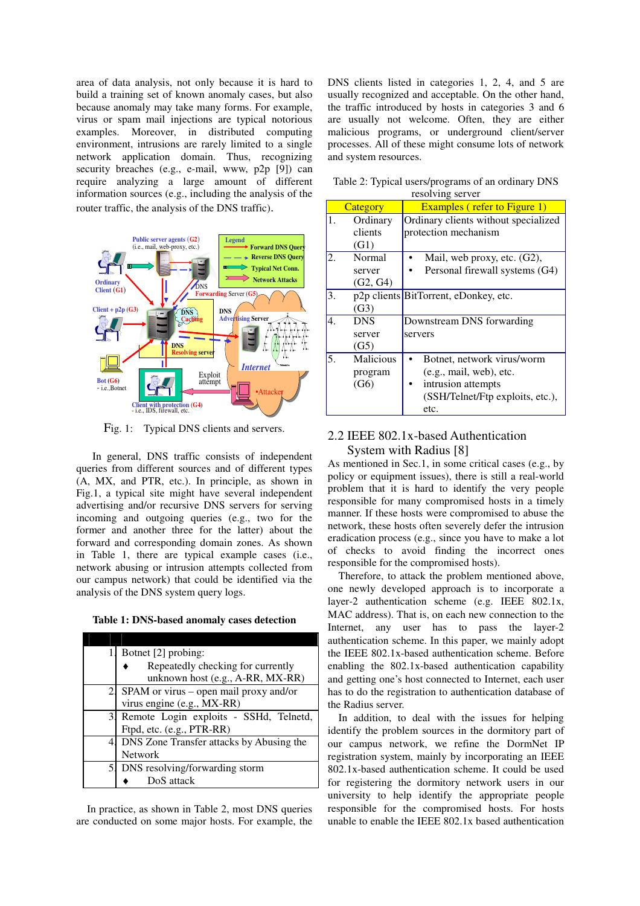area of data analysis, not only because it is hard to build a training set of known anomaly cases, but also because anomaly may take many forms. For example, virus or spam mail injections are typical notorious examples. Moreover, in distributed computing environment, intrusions are rarely limited to a single network application domain. Thus, recognizing security breaches (e.g., e-mail, www, p2p [9]) can require analyzing a large amount of different information sources (e.g., including the analysis of the router traffic, the analysis of the DNS traffic).



Fig. 1: Typical DNS clients and servers.

In general, DNS traffic consists of independent queries from different sources and of different types (A, MX, and PTR, etc.). In principle, as shown in Fig.1, a typical site might have several independent advertising and/or recursive DNS servers for serving incoming and outgoing queries (e.g., two for the former and another three for the latter) about the forward and corresponding domain zones. As shown in Table 1, there are typical example cases (i.e., network abusing or intrusion attempts collected from our campus network) that could be identified via the analysis of the DNS system query logs.

**Table 1: DNS-based anomaly cases detection**

|    | Botnet [2] probing:                      |  |
|----|------------------------------------------|--|
|    | Repeatedly checking for currently        |  |
|    | unknown host (e.g., A-RR, MX-RR)         |  |
|    | SPAM or virus – open mail proxy and/or   |  |
|    | virus engine (e.g., MX-RR)               |  |
| 3. | Remote Login exploits - SSHd, Telnetd,   |  |
|    | Ftpd, etc. (e.g., PTR-RR)                |  |
|    | DNS Zone Transfer attacks by Abusing the |  |
|    | <b>Network</b>                           |  |
| 5. | DNS resolving/forwarding storm           |  |
|    | DoS attack                               |  |

In practice, as shown in Table 2, most DNS queries are conducted on some major hosts. For example, the

DNS clients listed in categories 1, 2, 4, and 5 are usually recognized and acceptable. On the other hand, the traffic introduced by hosts in categories 3 and 6 are usually not welcome. Often, they are either malicious programs, or underground client/server processes. All of these might consume lots of network and system resources.

|    | TOSUIVING SUI VUI            |                                                                                                                              |  |  |
|----|------------------------------|------------------------------------------------------------------------------------------------------------------------------|--|--|
|    | Category                     | <b>Examples (refer to Figure 1)</b>                                                                                          |  |  |
| 1. | Ordinary<br>clients<br>(G1)  | Ordinary clients without specialized<br>protection mechanism                                                                 |  |  |
| 2. | Normal<br>server<br>(G2, G4) | Mail, web proxy, etc. (G2),<br>Personal firewall systems (G4)                                                                |  |  |
| 3. | (G3)                         | p2p clients BitTorrent, eDonkey, etc.                                                                                        |  |  |
| 4. | <b>DNS</b><br>server<br>(G5) | Downstream DNS forwarding<br>servers                                                                                         |  |  |
| 5. | Malicious<br>program<br>(G6) | Botnet, network virus/worm<br>(e.g., mail, web), etc.<br>intrusion attempts<br>٠<br>(SSH/Telnet/Ftp exploits, etc.),<br>etc. |  |  |

Table 2: Typical users/programs of an ordinary DNS resolving server

## 2.2 IEEE 802.1x-based Authentication System with Radius [8]

As mentioned in Sec.1, in some critical cases (e.g., by policy or equipment issues), there is still a real-world problem that it is hard to identify the very people responsible for many compromised hosts in a timely manner. If these hosts were compromised to abuse the network, these hosts often severely defer the intrusion eradication process (e.g., since you have to make a lot of checks to avoid finding the incorrect ones responsible for the compromised hosts).

Therefore, to attack the problem mentioned above, one newly developed approach is to incorporate a layer-2 authentication scheme (e.g. IEEE 802.1x, MAC address). That is, on each new connection to the Internet, any user has to pass the layer-2 authentication scheme. In this paper, we mainly adopt the IEEE 802.1x-based authentication scheme. Before enabling the 802.1x-based authentication capability and getting one's host connected to Internet, each user has to do the registration to authentication database of the Radius server.

In addition, to deal with the issues for helping identify the problem sources in the dormitory part of our campus network, we refine the DormNet IP registration system, mainly by incorporating an IEEE 802.1x-based authentication scheme. It could be used for registering the dormitory network users in our university to help identify the appropriate people responsible for the compromised hosts. For hosts unable to enable the IEEE 802.1x based authentication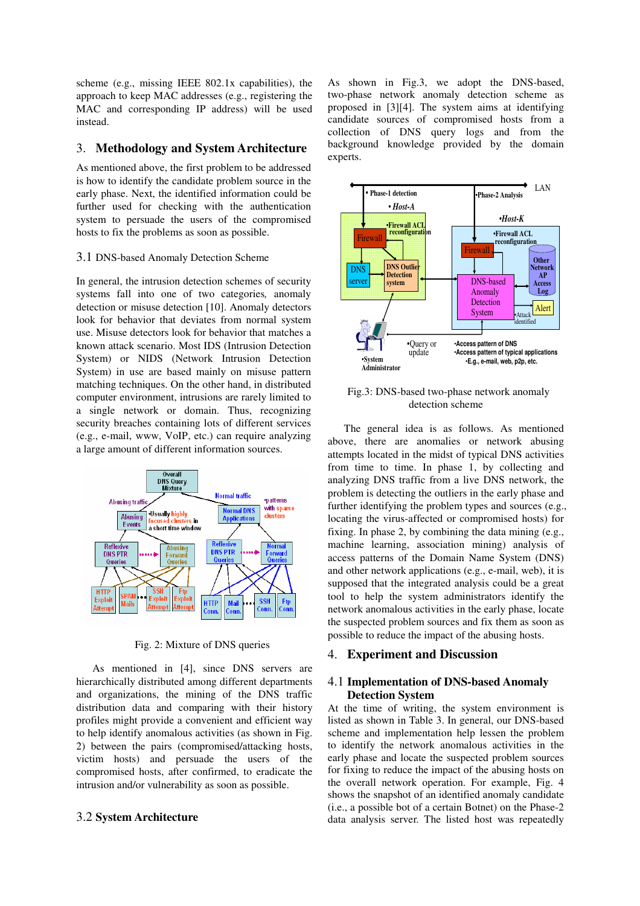scheme (e.g., missing IEEE 802.1x capabilities), the approach to keep MAC addresses (e.g., registering the MAC and corresponding IP address) will be used instead.

### 3. **Methodology and System Architecture**

As mentioned above, the first problem to be addressed is how to identify the candidate problem source in the early phase. Next, the identified information could be further used for checking with the authentication system to persuade the users of the compromised hosts to fix the problems as soon as possible.

#### 3.1 DNS-based Anomaly Detection Scheme

In general, the intrusion detection schemes of security systems fall into one of two categories*,* anomaly detection or misuse detection [10]. Anomaly detectors look for behavior that deviates from normal system use. Misuse detectors look for behavior that matches a known attack scenario. Most IDS (Intrusion Detection System) or NIDS (Network Intrusion Detection System) in use are based mainly on misuse pattern matching techniques. On the other hand, in distributed computer environment, intrusions are rarely limited to a single network or domain. Thus, recognizing security breaches containing lots of different services (e.g., e-mail, www, VoIP, etc.) can require analyzing a large amount of different information sources.



Fig. 2: Mixture of DNS queries

As mentioned in [4], since DNS servers are hierarchically distributed among different departments and organizations, the mining of the DNS traffic distribution data and comparing with their history profiles might provide a convenient and efficient way to help identify anomalous activities (as shown in Fig. 2) between the pairs (compromised/attacking hosts, victim hosts) and persuade the users of the compromised hosts, after confirmed, to eradicate the intrusion and/or vulnerability as soon as possible.

### 3.2 **System Architecture**

As shown in Fig.3, we adopt the DNS-based, two-phase network anomaly detection scheme as proposed in [3][4]. The system aims at identifying candidate sources of compromised hosts from a collection of DNS query logs and from the background knowledge provided by the domain experts.



Fig.3: DNS-based two-phase network anomaly detection scheme

The general idea is as follows. As mentioned above, there are anomalies or network abusing attempts located in the midst of typical DNS activities from time to time. In phase 1, by collecting and analyzing DNS traffic from a live DNS network, the problem is detecting the outliers in the early phase and further identifying the problem types and sources (e.g., locating the virus-affected or compromised hosts) for fixing. In phase 2, by combining the data mining (e.g., machine learning, association mining) analysis of access patterns of the Domain Name System (DNS) and other network applications (e.g., e-mail, web), it is supposed that the integrated analysis could be a great tool to help the system administrators identify the network anomalous activities in the early phase, locate the suspected problem sources and fix them as soon as possible to reduce the impact of the abusing hosts.

#### 4. **Experiment and Discussion**

#### 4.1 **Implementation of DNS-based Anomaly Detection System**

At the time of writing, the system environment is listed as shown in Table 3. In general, our DNS-based scheme and implementation help lessen the problem to identify the network anomalous activities in the early phase and locate the suspected problem sources for fixing to reduce the impact of the abusing hosts on the overall network operation. For example, Fig. 4 shows the snapshot of an identified anomaly candidate (i.e., a possible bot of a certain Botnet) on the Phase-2 data analysis server. The listed host was repeatedly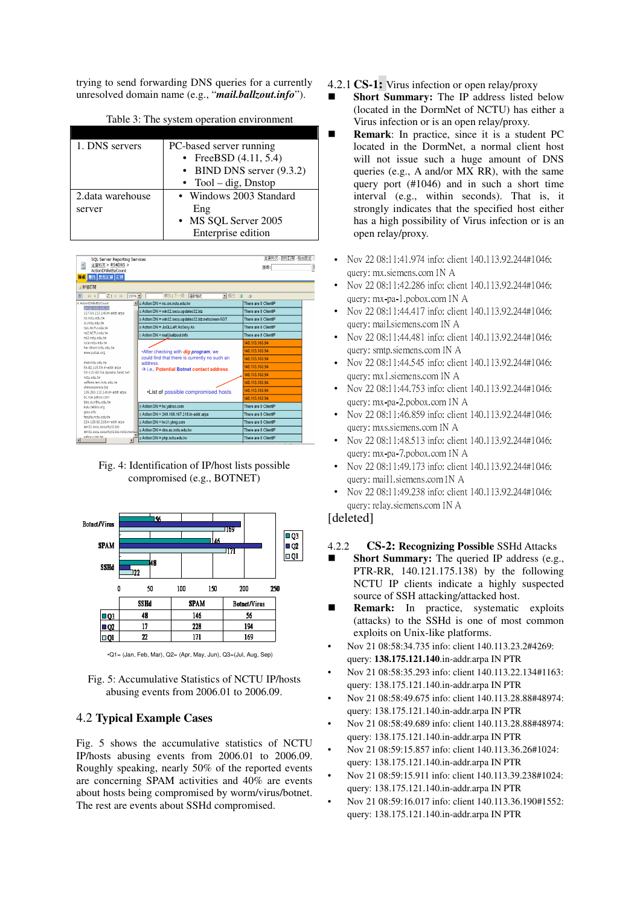trying to send forwarding DNS queries for a currently unresolved domain name (e.g., "*mail.ballzout.info*").

| 1. DNS servers    | PC-based server running     |
|-------------------|-----------------------------|
|                   | • FreeBSD $(4.11, 5.4)$     |
|                   | • BIND DNS server $(9.3.2)$ |
|                   | • Tool – dig, Dnstop        |
| 2. data warehouse | • Windows 2003 Standard     |
| server            | Eng                         |
|                   | • MS SQL Server 2005        |
|                   | Enterprise edition          |

| SOL Server Reporting Services<br>Ħ<br>主資料夾 > RS4DNS ><br>ActionDNlistByCount<br>層性 歴程記錄 訂閱<br>給資 |                                                      | 主資料夾 我的訂閱 站台設定 1<br>抑墨; |
|--------------------------------------------------------------------------------------------------|------------------------------------------------------|-------------------------|
| ●新增訂閱                                                                                            |                                                      |                         |
| Ⅱ 4 1 之1 ▶ H<br>100%<br>$\overline{1}$                                                           | 尋找   下一個<br>▼匯出<br>深政格式                              | 日<br>$\overline{a}$     |
| E ActionDNIstByCount<br>group.nctu.edu.tw                                                        | Alle Action DN = ns.cm.nctu.edu.tw                   | There are 8 ClientiP    |
| 117.54.113.140.in-addr.arpa                                                                      | B Action DN = win32.secu.updates32.biz               | There are 8 ClientiP    |
| ns.nctu.edu.tw                                                                                   | B Action DN = win32.secu.updates32.biz.netscreen-5GT | There are 8 ClientiP    |
| conchuedu.tw                                                                                     |                                                      |                         |
| ns1.NCTU.edu.hv                                                                                  | B Action DN = JuGLLeR.AsSexy.As                      | There are 8 ClientiP    |
| ns2 NCTLLedu hv<br>ns3.nctu.edu.tw                                                               | Action DN = mail.ballzout.info                       | There are 8 ClientIP    |
| cosa.nchi.edu.tw                                                                                 |                                                      | 140.113.163.94          |
| har-driver.nchi.edu.ha                                                                           |                                                      | 140 113 163 94          |
| www.potuk.org                                                                                    | *After checking with dig program, we                 |                         |
|                                                                                                  | could find that there is currently no such an        | 140.113.163.94          |
| mail.nchi.edu.tw<br>54.82.115.59.in-addr.arpa                                                    | address.                                             | 140.113.163.94          |
| 59-115-82-54.dynamic.hinet.net                                                                   | $\rightarrow$ i.e., Potential Botnet contact address |                         |
| nctu.edu.tw                                                                                      |                                                      | 140 113 163 94          |
| caffeine.iem.nchi.edu.tw                                                                         |                                                      | 140.113.163.94          |
| chinesesendre.htm                                                                                |                                                      | 140.113.163.94          |
| 135.250.113.140.in-addr.arpa<br>bc.row.yahoo.com                                                 | •List of possible compromised hosts                  |                         |
| hbs.cs.nthu.edu.hr                                                                               |                                                      | 140.113.163.94          |
| kulu.twbbs.org                                                                                   | <b>⊞ Action DN = tw.yahoo.com</b>                    | There are 8 ClientiP    |
| atys.info                                                                                        | in Action DN = 249.168.167.218.in-addr.arpa          | There are 8 ClientIP    |
| faculty.nctu.edu.tw                                                                              |                                                      |                         |
| 224.128.82.218.in-addr.arpa<br>win32.secu.security32.blz                                         | <b>⊞ Action DN = tw.i1.yimg.com</b>                  | There are 8 ClientiP    |
| win32.secu.security32.blz.netscreen-                                                             | n Action DN = dns.ac.nctu.edu.tw                     | There are 8 ClientiP    |
| vahoo.com.tw<br>$\mathbf{I}$<br>тI                                                               | ⊕ Action DN = php.nctu.edu.tw                        | There are 8 ClientiP    |

Fig. 4: Identification of IP/host lists possible compromised (e.g., BOTNET)



•Q1= (Jan, Feb, Mar), Q2= (Apr, May, Jun), Q3=(Jul, Aug, Sep)

Fig. 5: Accumulative Statistics of NCTU IP/hosts abusing events from 2006.01 to 2006.09.

### 4.2 **Typical Example Cases**

Fig. 5 shows the accumulative statistics of NCTU IP/hosts abusing events from 2006.01 to 2006.09. Roughly speaking, nearly 50% of the reported events are concerning SPAM activities and 40% are events about hosts being compromised by worm/virus/botnet. The rest are events about SSHd compromised.

4.2.1 **CS-1:** Virus infection or open relay/proxy

- - **Short Summary:** The IP address listed below (located in the DormNet of NCTU) has either a Virus infection or is an open relay/proxy.
- - **Remark**: In practice, since it is a student PC located in the DormNet, a normal client host will not issue such a huge amount of DNS queries (e.g., A and/or MX RR), with the same query port (#1046) and in such a short time interval (e.g., within seconds). That is, it strongly indicates that the specified host either has a high possibility of Virus infection or is an open relay/proxy.
- Nov 22 08:11:41.974 info: client 140.113.92.244#1046: auery: mx.siemens.com IN A
- Nov 22 08:11:42.286 info: client 140.113.92.244#1046: auery: mx-pa-1.pobox.com in A
- Nov 22 08:11:44.417 info: client 140.113.92.244#1046: auery: mail.siemens.com IN A
- Nov 22 08:11:44.481 info: client 140.113.92.244#1046: auery: smtp.siemens.com IN A
- Nov 22 08:11:44.545 info: client 140.113.92.244#1046: auery: mx1.siemens.com IN A
- Nov 22 08:11:44.753 info: client 140.113.92.244#1046: auery: mx-pa-2.pobox.com in A
- Nov 22 08:11:46.859 info: client 140.113.92.244#1046: auery: mxs.siemens.com IN A
- Nov 22 08:11:48.513 info: client 140.113.92.244#1046: auery: mx-pa-7.pobox.com in A
- Nov 22 08:11:49.173 info: client 140.113.92.244#1046: auery; maill.siemens.com IN A
- Nov 22 08:11:49.238 info: client 140.113.92.244#1046: auery; relay.siemens.com in A

# [deleted]

- 4.2.2 **CS-2: Recognizing Possible** SSHd Attacks
- - **Short Summary:** The queried IP address (e.g., PTR-RR, 140.121.175.138) by the following NCTU IP clients indicate a highly suspected source of SSH attacking/attacked host.
- - **Remark:** In practice, systematic exploits (attacks) to the SSHd is one of most common exploits on Unix-like platforms.
- Nov 21 08:58:34.735 info: client 140.113.23.2#4269: query: **138.175.121.140**.in-addr.arpa IN PTR
- Nov 21 08:58:35.293 info: client 140.113.22.134#1163: query: 138.175.121.140.in-addr.arpa IN PTR
- Nov 21 08:58:49.675 info: client 140.113.28.88#48974: query: 138.175.121.140.in-addr.arpa IN PTR
- Nov 21 08:58:49.689 info: client 140.113.28.88#48974: query: 138.175.121.140.in-addr.arpa IN PTR
- Nov 21 08:59:15.857 info: client 140.113.36.26#1024: query: 138.175.121.140.in-addr.arpa IN PTR
- Nov 21 08:59:15.911 info: client 140.113.39.238#1024: query: 138.175.121.140.in-addr.arpa IN PTR
- Nov 21 08:59:16.017 info: client 140.113.36.190#1552: query: 138.175.121.140.in-addr.arpa IN PTR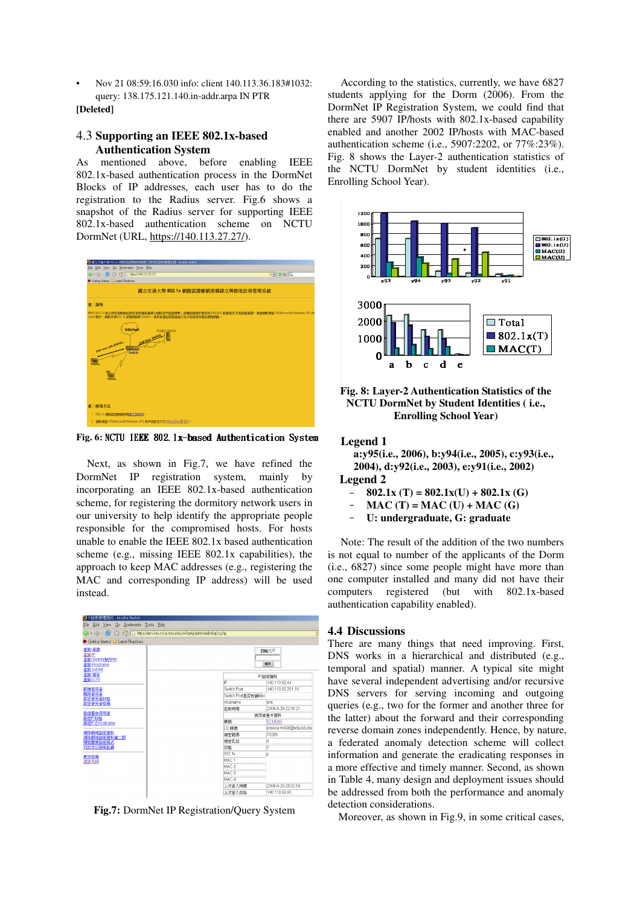Nov 21 08:59:16.030 info: client 140.113.36.183#1032: query: 138.175.121.140.in-addr.arpa IN PTR

#### [Deleted]

### 4.3 Supporting an IEEE 802.1x-based **Authentication System**

mentioned above, before enabling IEEE  $As$ 802.1x-based authentication process in the DormNet Blocks of IP addresses, each user has to do the registration to the Radius server. Fig.6 shows a snapshot of the Radius server for supporting IEEE 802.1x-based authentication scheme on NCTU DormNet (URL, https://140.113.27.27/).



Fig. 6: NCTU IEEE 802.1x-based Authentication System

Next, as shown in Fig.7, we have refined the DormNet IP registration system, mainly by incorporating an IEEE 802.1x-based authentication scheme, for registering the dormitory network users in our university to help identify the appropriate people responsible for the compromised hosts. For hosts unable to enable the IEEE 802.1x based authentication scheme (e.g., missing IEEE 802.1x capabilities), the approach to keep MAC addresses (e.g., registering the MAC and corresponding IP address) will be used instead.

| TIP註冊管理程式 - Mozilla Firefox                                 |                  |                    |                         |
|-------------------------------------------------------------|------------------|--------------------|-------------------------|
| Edit View Go Bookmarks Tools Help<br>File                   |                  |                    |                         |
|                                                             |                  |                    |                         |
| Getting Started <b>&amp;</b> Latest Headlines               |                  |                    |                         |
| 杏飾 學號<br>杏饰·P<br>查詢-Switch(製作中)<br>查詢-Hostname<br>查詢-subnet |                  |                    | 請輸入IP<br>確定             |
| 杏節 寝室                                                       |                  |                    | P註冊資料                   |
| を飾-LOG                                                      | ю                |                    | 140.113.92.44           |
| 新增使用者                                                       | Switch Port      |                    | 140.113.92.251.16       |
| 副除使用者                                                       |                  | Switch Port是否有鎖Mac |                         |
| 設定使用者狀態<br>設定使用者密碼                                          | Hostname         |                    | ans                     |
|                                                             | 註冊時間             |                    | 2006-6-29 22 08:21      |
| 發信警告使用者<br>設定P狀態                                            |                  | 使用者基本管料            |                         |
| 設定IP之Hostname                                               | 帳線               |                    | 9314044                 |
|                                                             | D2 帐脑            |                    | anskou.me93@nctu.edu.tw |
| 清除網域註冊資料<br>清除網域註冊資料第二版                                     | 寝室膝底             |                    | 78208                   |
| 開啓關閉註冊程式                                                    | 寝室孔位             |                    | d                       |
| 列出本日註冊記録                                                    | 狀態               |                    | Ÿ                       |
| 更改密碼                                                        | 802.1x           |                    | V                       |
| 退出系統                                                        | MAC <sub>1</sub> |                    |                         |
|                                                             | MAC <sub>2</sub> |                    |                         |
|                                                             | MAC <sub>3</sub> |                    |                         |
|                                                             | MAC <sub>4</sub> |                    |                         |
|                                                             | 上次登入時間           |                    | 2006-6-29 23 02:53      |
|                                                             | 上次登入位址           |                    | 140.113.92.40           |

Fig.7: DormNet IP Registration/Ouery System

According to the statistics, currently, we have 6827 students applying for the Dorm (2006). From the DormNet IP Registration System, we could find that there are 5907 IP/hosts with 802.1x-based capability enabled and another 2002 IP/hosts with MAC-based authentication scheme (i.e., 5907:2202, or 77%:23%). Fig. 8 shows the Layer-2 authentication statistics of the NCTU DormNet by student identities (i.e., Enrolling School Year).



Fig. 8: Layer-2 Authentication Statistics of the NCTU DormNet by Student Identities (i.e., **Enrolling School Year)** 

### **Legend 1**

a: v95(i.e., 2006), b: v94(i.e., 2005), c: v93(i.e., 2004), d:y92(i.e., 2003), e:y91(i.e., 2002)

# **Legend 2**

- $802.1x(T) = 802.1x(U) + 802.1x(G)$  $\frac{1}{2}$
- $MAC(T) = MAC(U) + MAC(G)$
- U: undergraduate, G: graduate

Note: The result of the addition of the two numbers is not equal to number of the applicants of the Dorm (i.e., 6827) since some people might have more than one computer installed and many did not have their computers registered (but with 802.1x-based) authentication capability enabled).

#### **4.4 Discussions**

There are many things that need improving. First, DNS works in a hierarchical and distributed (e.g., temporal and spatial) manner. A typical site might have several independent advertising and/or recursive DNS servers for serving incoming and outgoing queries (e.g., two for the former and another three for the latter) about the forward and their corresponding reverse domain zones independently. Hence, by nature, a federated anomaly detection scheme will collect information and generate the eradicating responses in a more effective and timely manner. Second, as shown in Table 4, many design and deployment issues should be addressed from both the performance and anomaly detection considerations.

Moreover, as shown in Fig.9, in some critical cases,